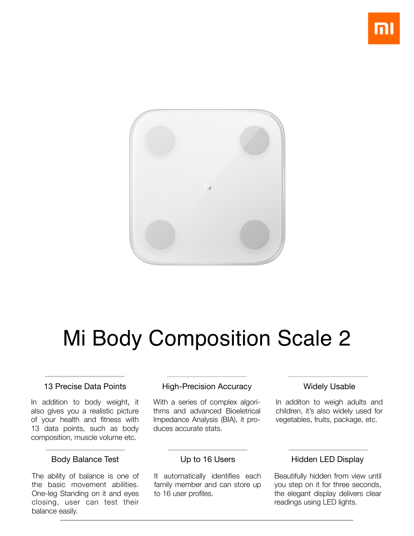

# Mi Body Composition Scale 2

#### 13 Precise Data Points

In addition to body weight, it also gives you a realistic picture of your health and fitness with 13 data points, such as body composition, muscle volume etc.

#### Body Balance Test

The ability of balance is one of the basic movement abilities. One-leg Standing on it and eyes closing, user can test their balance easily.

#### High-Precision Accuracy

With a series of complex algorithms and advanced Bioeletrical Impedance Analysis (BIA), it produces accurate stats.

#### Widely Usable

In additon to weigh adults and children, it's also widely used for vegetables, fruits, package, etc.

#### Up to 16 Users

It automatically identifies each family member and can store up to 16 user profiles.

### Hidden LED Display

Beautifully hidden from view until you step on it for three seconds, the elegant display delivers clear readings using LED lights.